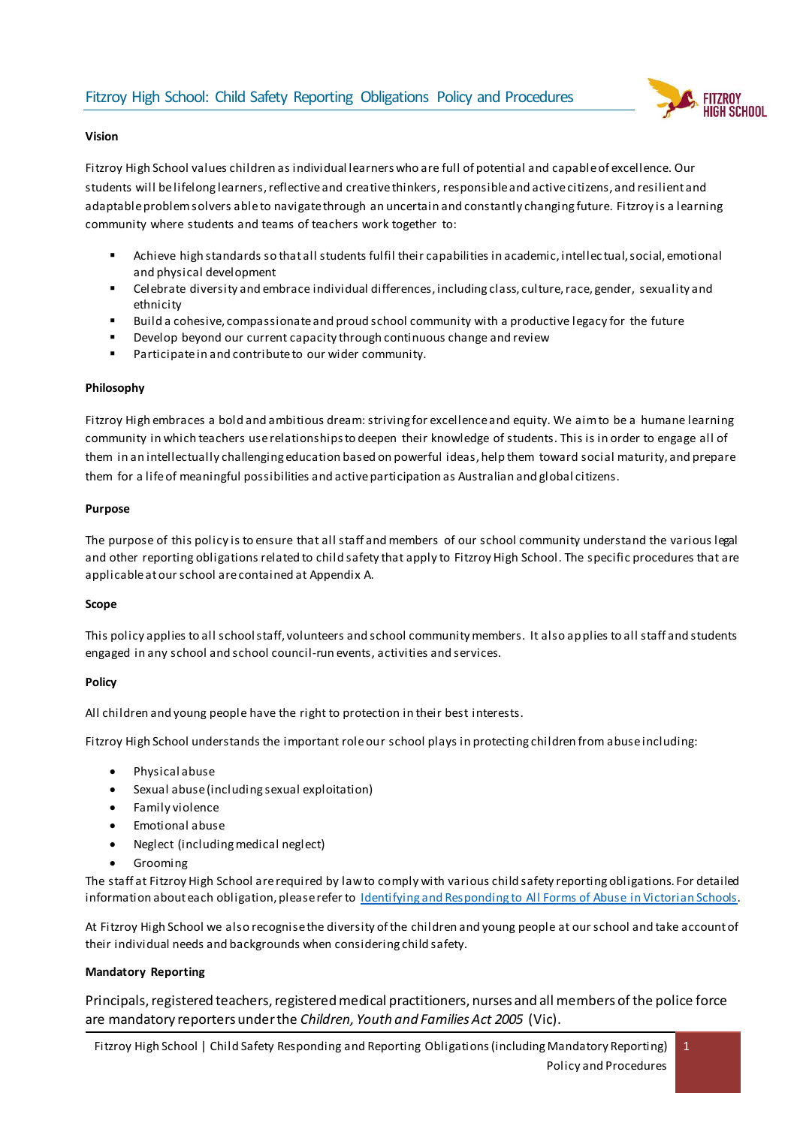

## **Vision**

Fitzroy High School values children as individual learners who are full of potential and capable of excellence. Our students will be lifelong learners, reflective and creative thinkers, responsible and active citizens, and resilient and adaptable problem solvers able to navigate through an uncertain and constantly changing future. Fitzroy is a learning community where students and teams of teachers work together to:

- Achieve high standards so that all students fulfil their capabilities in academic, intellec tual, social, emotional and physical development
- Celebrate diversity and embrace individual differences, including class, culture, race, gender, sexuality and ethnicity
- Build a cohesive, compassionate and proud school community with a productive legacy for the future
- Develop beyond our current capacity through continuous change and review
- Participate in and contribute to our wider community.

### **Philosophy**

Fitzroy High embraces a bold and ambitious dream: striving for excellence and equity. We aim to be a humane learning community in which teachers use relationships to deepen their knowledge of students. This is in order to engage all of them in an intellectually challenging education based on powerful ideas, help them toward social maturity, and prepare them for a life of meaningful possibilities and active participation as Australian and global citizens.

### **Purpose**

The purpose of this policy is to ensure that all staff and members of our school community understand the various legal and other reporting obligations related to child safety that apply to Fitzroy High School. The specific procedures that are applicable at our school are contained at Appendix A.

### **Scope**

This policy applies to all school staff, volunteers and school community members. It also applies to all staff and students engaged in any school and school council-run events, activities and services.

### **Policy**

All children and young people have the right to protection in their best interests.

Fitzroy High School understands the important role our school plays in protecting children from abuse including:

- Physical abuse
- Sexual abuse (including sexual exploitation)
- Family violence
- Emotional abuse
- Neglect (including medical neglect)
- Grooming

The staff at Fitzroy High School are required by law to comply with various child safety reporting obligations. For detailed information about each obligation, please refer to [Identifying and Responding to All Forms of Abuse in Victorian Schools.](https://www.education.vic.gov.au/Documents/about/programs/health/protect/ChildSafeStandard5_SchoolsGuide.pdf)

At Fitzroy High School we also recognise the diversity of the children and young people at our school and take account of their individual needs and backgrounds when considering child safety.

### **Mandatory Reporting**

Principals, registered teachers, registered medical practitioners, nurses and all members of the police force are mandatory reporters under the *Children, Youth and Families Act 2005* (Vic).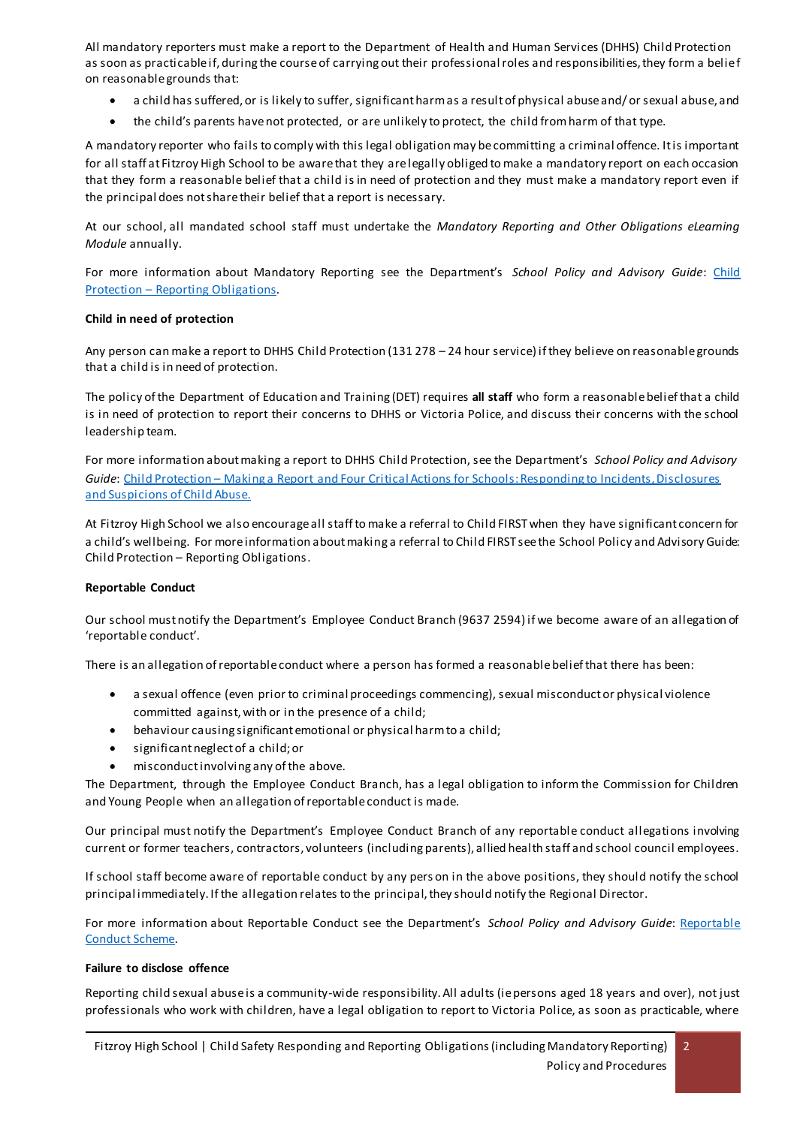All mandatory reporters must make a report to the Department of Health and Human Services (DHHS) Child Protection as soon as practicable if, during the course of carrying out their professional roles and responsibilities, they form a belief on reasonable grounds that:

- a child has suffered, or is likely to suffer, significant harm as a result of physical abuse and/ or sexual abuse, and
- the child's parents have not protected, or are unlikely to protect, the child from harm of that type.

A mandatory reporter who fails to comply with this legal obligation may be committing a criminal offence. It is important for all staff at Fitzroy High School to be aware that they are legally obliged to make a mandatory report on each occasion that they form a reasonable belief that a child is in need of protection and they must make a mandatory report even if the principal does not share their belief that a report is necessary.

At our school, all mandated school staff must undertake the *Mandatory Reporting and Other Obligations eLearning Module* annually.

For more information about Mandatory Reporting see the Department's School Policy and Advisory Guide: Child Protection – [Reporting Obligations.](http://www.education.vic.gov.au/school/principals/spag/safety/Pages/childprotectobligation.aspx)

## **Child in need of protection**

Any person can make a report to DHHS Child Protection (131 278 – 24 hour service) if they believe on reasonable grounds that a child is in need of protection.

The policy of the Department of Education and Training (DET) requires **all staff** who form a reasonable belief that a child is in need of protection to report their concerns to DHHS or Victoria Police, and discuss their concerns with the school leadership team.

For more information about making a report to DHHS Child Protection, see the Department's *School Policy and Advisory Guide*: [Child Protection](http://www.education.vic.gov.au/school/principals/spag/safety/Pages/childprotectreporting.aspx) – Making a Report an[d Four Critical Actions for Schools: Responding to Incidents, Disclosures](https://www.education.vic.gov.au/Documents/about/programs/health/protect/FourCriticalActions_ChildAbuse.pdf)  [and Suspicions of Child Abuse.](https://www.education.vic.gov.au/Documents/about/programs/health/protect/FourCriticalActions_ChildAbuse.pdf)

At Fitzroy High School we also encourage all staff to make a referral to Child FIRST when they have significant concern for a child's wellbeing. For more information about making a referral to Child FIRST see the School Policy and Advisory Guide: Child Protection – [Reporting Obligations](https://www.education.vic.gov.au/school/principals/spag/safety/Pages/childprotectobligation.aspx).

# **Reportable Conduct**

Our school must notify the Department's Employee Conduct Branch (9637 2594) if we become aware of an allegation of 'reportable conduct'.

There is an allegation of reportable conduct where a person has formed a reasonable belief that there has been:

- a sexual offence (even prior to criminal proceedings commencing), sexual misconduct or physical violence committed against, with or in the presence of a child;
- behaviour causing significant emotional or physical harm to a child;
- significant neglect of a child; or
- misconduct involving any of the above.

The Department, through the Employee Conduct Branch, has a legal obligation to inform the Commission for Children and Young People when an allegation of reportable conduct is made.

Our principal must notify the Department's Employee Conduct Branch of any reportable conduct allegations involving current or former teachers, contractors, volunteers (including parents), allied health staff and school council employees.

If school staff become aware of reportable conduct by any pers on in the above positions, they should notify the school principal immediately. If the allegation relates to the principal, they should notify the Regional Director.

For more information about Reportable Conduct see the Department's *School Policy and Advisory Guide*: [Reportable](http://www.education.vic.gov.au/school/principals/spag/safety/Pages/reportableconductscheme.aspx)  [Conduct Scheme.](http://www.education.vic.gov.au/school/principals/spag/safety/Pages/reportableconductscheme.aspx) 

### **Failure to disclose offence**

Reporting child sexual abuse is a community-wide responsibility. All adults (ie persons aged 18 years and over), not just professionals who work with children, have a legal obligation to report to Victoria Police, as soon as practicable, where

2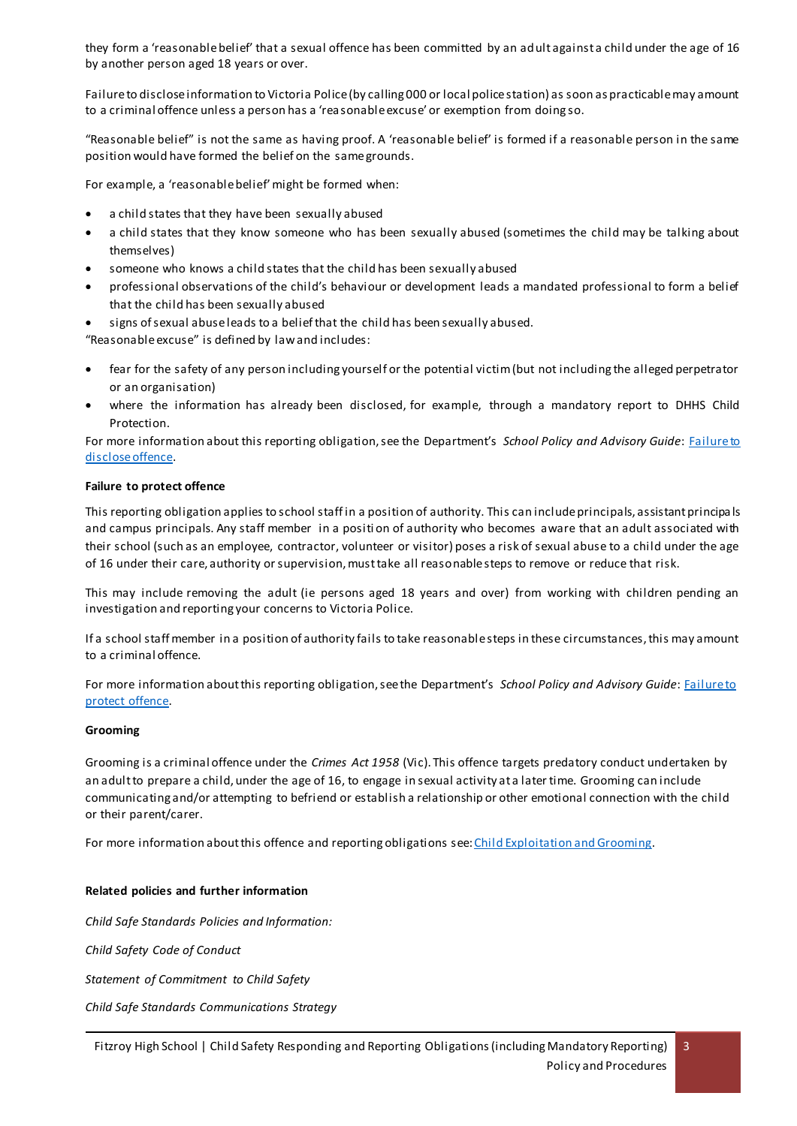they form a 'reasonable belief' that a sexual offence has been committed by an adult against a child under the age of 16 by another person aged 18 years or over.

Failure to disclose information to Victoria Police (by calling 000 or local police station) as soon as practicable may amount to a criminal offence unless a person has a 'reasonable excuse' or exemption from doing so.

"Reasonable belief" is not the same as having proof. A 'reasonable belief' is formed if a reasonable person in the same position would have formed the belief on the same grounds.

For example, a 'reasonable belief' might be formed when:

- a child states that they have been sexually abused
- a child states that they know someone who has been sexually abused (sometimes the child may be talking about themselves)
- someone who knows a child states that the child has been sexually abused
- professional observations of the child's behaviour or development leads a mandated professional to form a belief that the child has been sexually abused
- signs of sexual abuse leads to a belief that the child has been sexually abused.

"Reasonable excuse" is defined by law and includes:

- fear for the safety of any person including yourself or the potential victim (but not including the alleged perpetrator or an organisation)
- where the information has already been disclosed, for example, through a mandatory report to DHHS Child Protection.

For more information about this reporting obligation, see the Department's *School Policy and Advisory Guide*: [Failure to](http://www.education.vic.gov.au/school/principals/spag/safety/Pages/childprotectobligation.aspx)  [disclose offence.](http://www.education.vic.gov.au/school/principals/spag/safety/Pages/childprotectobligation.aspx)

### **Failure to protect offence**

This reporting obligation applies to school staff in a position of authority. This can include principals, assistant principa ls and campus principals. Any staff member in a positi on of authority who becomes aware that an adult associated with their school (such as an employee, contractor, volunteer or visitor) poses a risk of sexual abuse to a child under the age of 16 under their care, authority or supervision, must take all reasonable steps to remove or reduce that risk.

This may include removing the adult (ie persons aged 18 years and over) from working with children pending an investigation and reporting your concerns to Victoria Police.

If a school staff member in a position of authority fails to take reasonable steps in these circumstances, this may amount to a criminal offence.

For more information about this reporting obligation, see the Department's *School Policy and Advisory Guide*: [Failure to](http://www.education.vic.gov.au/school/principals/spag/safety/Pages/childprotectobligation.aspx)  [protect offence.](http://www.education.vic.gov.au/school/principals/spag/safety/Pages/childprotectobligation.aspx) 

### **Grooming**

Grooming is a criminal offence under the *Crimes Act 1958* (Vic). This offence targets predatory conduct undertaken by an adult to prepare a child, under the age of 16, to engage in sexual activity at a later time. Grooming can include communicating and/or attempting to befriend or establish a relationship or other emotional connection with the child or their parent/carer.

For more information about this offence and reporting obligations see[: Child Exploitation and Grooming.](https://www.education.vic.gov.au/school/teachers/health/childprotection/Pages/expolitationgrooming.aspx)

### **Related policies and further information**

*Child Safe Standards Policies and Information:*

*Child Safety Code of Conduct*

*Statement of Commitment to Child Safety*

*Child Safe Standards Communications Strategy*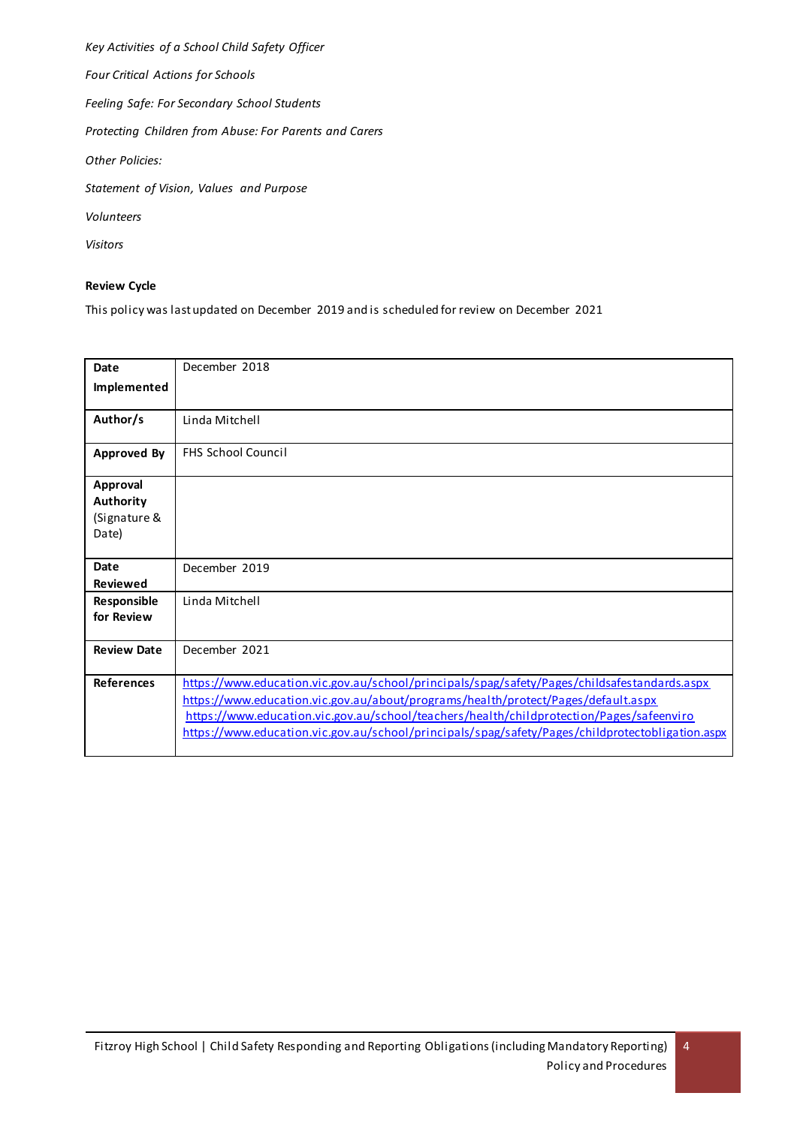*Key Activities of a School Child Safety Officer Four Critical Actions for Schools Feeling Safe: For Secondary School Students Protecting Children from Abuse: For Parents and Carers Other Policies: Statement of Vision, Values and Purpose Volunteers Visitors*

### **Review Cycle**

This policy was last updated on December 2019 and is scheduled for review on December 2021

| Date               | December 2018                                                                                    |
|--------------------|--------------------------------------------------------------------------------------------------|
| Implemented        |                                                                                                  |
| Author/s           | Linda Mitchell                                                                                   |
| <b>Approved By</b> | <b>FHS School Council</b>                                                                        |
| Approval           |                                                                                                  |
| Authority          |                                                                                                  |
| (Signature &       |                                                                                                  |
| Date)              |                                                                                                  |
|                    |                                                                                                  |
| Date               | December 2019                                                                                    |
| <b>Reviewed</b>    |                                                                                                  |
| Responsible        | Linda Mitchell                                                                                   |
| for Review         |                                                                                                  |
| <b>Review Date</b> | December 2021                                                                                    |
| <b>References</b>  | https://www.education.vic.gov.au/school/principals/spag/safety/Pages/childsafestandards.aspx     |
|                    | https://www.education.vic.gov.au/about/programs/health/protect/Pages/default.aspx                |
|                    | https://www.education.vic.gov.au/school/teachers/health/childprotection/Pages/safeenviro         |
|                    | https://www.education.vic.gov.au/school/principals/spag/safety/Pages/childprotectobligation.aspx |
|                    |                                                                                                  |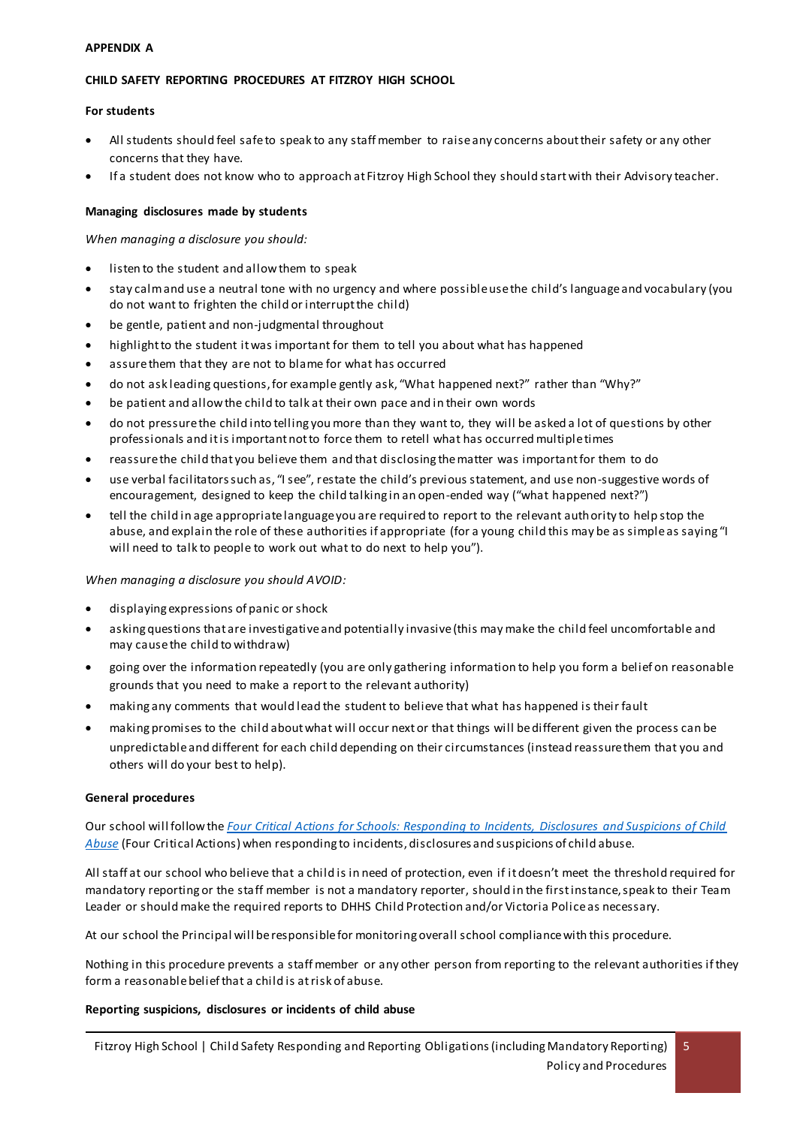### **APPENDIX A**

### **CHILD SAFETY REPORTING PROCEDURES AT FITZROY HIGH SCHOOL**

#### **For students**

- All students should feel safe to speak to any staff member to raise any concerns about their safety or any other concerns that they have.
- If a student does not know who to approach at Fitzroy High School they should start with their Advisory teacher.

#### **Managing disclosures made by students**

*When managing a disclosure you should:*

- listen to the student and allow them to speak
- stay calm and use a neutral tone with no urgency and where possible use the child's language and vocabulary (you do not want to frighten the child or interrupt the child)
- be gentle, patient and non-judgmental throughout
- highlight to the student it was important for them to tell you about what has happened
- assure them that they are not to blame for what has occurred
- do not ask leading questions, for example gently ask, "What happened next?" rather than "Why?"
- be patient and allow the child to talk at their own pace and in their own words
- do not pressure the child into telling you more than they want to, they will be asked a lot of questions by other professionals and it is important not to force them to retell what has occurred multiple times
- reassure the child that you believe them and that disclosing the matter was important for them to do
- use verbal facilitators such as, "I see", restate the child's previous statement, and use non-suggestive words of encouragement, designed to keep the child talking in an open-ended way ("what happened next?")
- tell the child in age appropriate language you are required to report to the relevant authority to help stop the abuse, and explain the role of these authorities if appropriate (for a young child this may be as simple as saying "I will need to talk to people to work out what to do next to help you").

*When managing a disclosure you should AVOID:*

- displaying expressions of panic or shock
- asking questions that are investigative and potentially invasive (this may make the child feel uncomfortable and may cause the child to withdraw)
- going over the information repeatedly (you are only gathering information to help you form a belief on reasonable grounds that you need to make a report to the relevant authority)
- making any comments that would lead the student to believe that what has happened is their fault
- making promises to the child about what will occur next or that things will be different given the process can be unpredictable and different for each child depending on their circumstances (instead reassure them that you and others will do your best to help).

### **General procedures**

Our school will follow the *[Four Critical Actions for Schools: Responding to Incidents, Disclosures and Suspicions of Child](https://www.education.vic.gov.au/Documents/about/programs/health/protect/FourCriticalActions_ChildAbuse.pdf)  [Abuse](https://www.education.vic.gov.au/Documents/about/programs/health/protect/FourCriticalActions_ChildAbuse.pdf)* (Four Critical Actions) when responding to incidents, disclosures and suspicions of child abuse.

All staff at our school who believe that a child is in need of protection, even if it doesn't meet the threshold required for mandatory reporting or the staff member is not a mandatory reporter, should in the first instance, speak to their Team Leader or should make the required reports to DHHS Child Protection and/or Victoria Police as necessary.

At our school the Principal will be responsible for monitoring overall school compliance with this procedure.

Nothing in this procedure prevents a staff member or any other person from reporting to the relevant authorities if they form a reasonable belief that a child is at risk of abuse.

### **Reporting suspicions, disclosures or incidents of child abuse**

5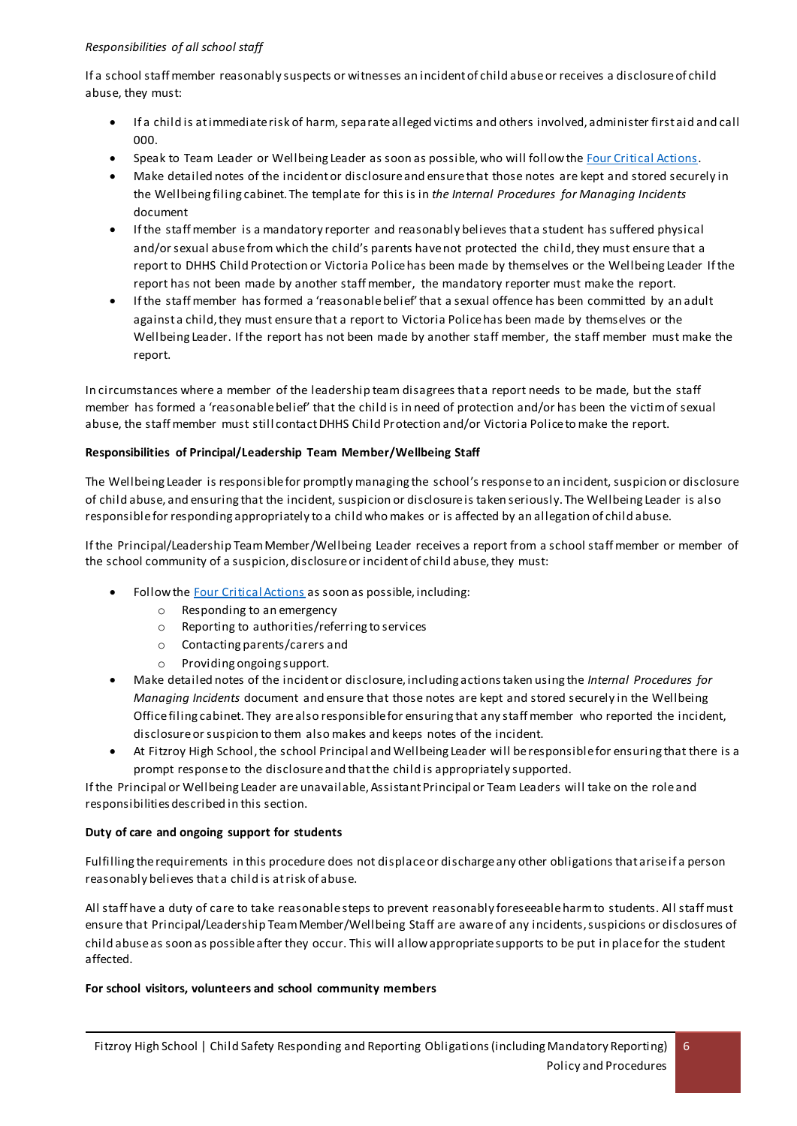## *Responsibilities of all school staff*

If a school staff member reasonably suspects or witnesses an incident of child abuse or receives a disclosure of child abuse, they must:

- If a child is at immediate risk of harm, separate alleged victims and others involved, administer first aid and call 000.
- Speak to Team Leader or Wellbeing Leader as soon as possible, who will follow th[e Four Critical Actions](https://www.education.vic.gov.au/Documents/about/programs/health/protect/FourCriticalActions_ChildAbuse.pdf).
- Make detailed notes of the incident or disclosure and ensure that those notes are kept and stored securely in the Wellbeing filing cabinet. The template for this is in *the Internal Procedures for Managing Incidents* document
- If the staff member is a mandatory reporter and reasonably believes that a student has suffered physical and/or sexual abuse from which the child's parents have not protected the child, they must ensure that a report to DHHS Child Protection or Victoria Police has been made by themselves or the Wellbeing Leader If the report has not been made by another staff member, the mandatory reporter must make the report.
- If the staff member has formed a 'reasonable belief' that a sexual offence has been committed by an adult against a child, they must ensure that a report to Victoria Police has been made by themselves or the Wellbeing Leader. If the report has not been made by another staff member, the staff member must make the report.

In circumstances where a member of the leadership team disagrees that a report needs to be made, but the staff member has formed a 'reasonable belief' that the child is in need of protection and/or has been the victim of sexual abuse, the staff member must still contact DHHS Child Protection and/or Victoria Police to make the report.

# **Responsibilities of Principal/Leadership Team Member/Wellbeing Staff**

The Wellbeing Leader is responsible for promptly managing the school's response to an incident, suspicion or disclosure of child abuse, and ensuring that the incident, suspicion or disclosure is taken seriously. The Wellbeing Leader is also responsible for responding appropriately to a child who makes or is affected by an allegation of child abuse.

If the Principal/Leadership Team Member/Wellbeing Leader receives a report from a school staff member or member of the school community of a suspicion, disclosure or incident of child abuse, they must:

- Follow the [Four Critical Actions](https://www.education.vic.gov.au/Documents/about/programs/health/protect/FourCriticalActions_ChildAbuse.pdf) as soon as possible, including:
	- o Responding to an emergency
	- o Reporting to authorities/referring to services
	- o Contacting parents/carers and
	- o Providing ongoing support.
- Make detailed notes of the incident or disclosure, including actions taken using the *Internal Procedures for Managing Incidents* document and ensure that those notes are kept and stored securely in the Wellbeing Office filing cabinet. They are also responsible for ensuring that any staff member who reported the incident, disclosure or suspicion to them also makes and keeps notes of the incident.
- At Fitzroy High School, the school Principal and Wellbeing Leader will be responsible for ensuring that there is a prompt response to the disclosure and that the child is appropriately supported.

If the Principal or Wellbeing Leader are unavailable, Assistant Principal or Team Leaders will take on the role and responsibilities described in this section.

# **Duty of care and ongoing support for students**

Fulfilling the requirements in this procedure does not displace or discharge any other obligations that arise if a person reasonably believes that a child is at risk of abuse.

All staff have a duty of care to take reasonable steps to prevent reasonably foreseeable harm to students. All staff must ensure that Principal/Leadership Team Member/Wellbeing Staff are aware of any incidents, suspicions or disclosures of child abuse as soon as possible after they occur. This will allow appropriate supports to be put in place for the student affected.

### **For school visitors, volunteers and school community members**